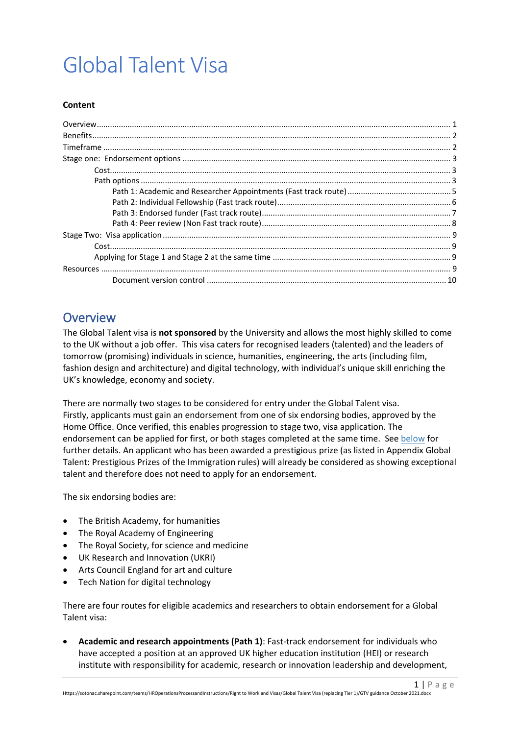# Global Talent Visa

#### **Content**

## <span id="page-0-0"></span>**Overview**

The Global Talent visa is **not sponsored** by the University and allows the most highly skilled to come to the UK without a job offer. This visa caters for recognised leaders (talented) and the leaders of tomorrow (promising) individuals in science, humanities, engineering, the arts (including film, fashion design and architecture) and digital technology, with individual's unique skill enriching the UK's knowledge, economy and society.

There are normally two stages to be considered for entry under the Global Talent visa. Firstly, applicants must gain an endorsement from one of six endorsing bodies, approved by the Home Office. Once verified, this enables progression to stage two, visa application. The endorsement can be applied for first, or both stages completed at the same time. See [below](#page-8-2) for further details. An applicant who has been awarded a prestigious prize (as listed in Appendix Global Talent: Prestigious Prizes of the Immigration rules) will already be considered as showing exceptional talent and therefore does not need to apply for an endorsement.

The six endorsing bodies are:

- The British Academy, for humanities
- The Royal Academy of Engineering
- The Royal Society, for science and medicine
- UK Research and Innovation (UKRI)
- Arts Council England for art and culture
- Tech Nation for digital technology

There are four routes for eligible academics and researchers to obtain endorsement for a Global Talent visa:

• **Academic and research appointments (Path 1)**: Fast-track endorsement for individuals who have accepted a position at an approved UK higher education institution (HEI) or research institute with responsibility for academic, research or innovation leadership and development,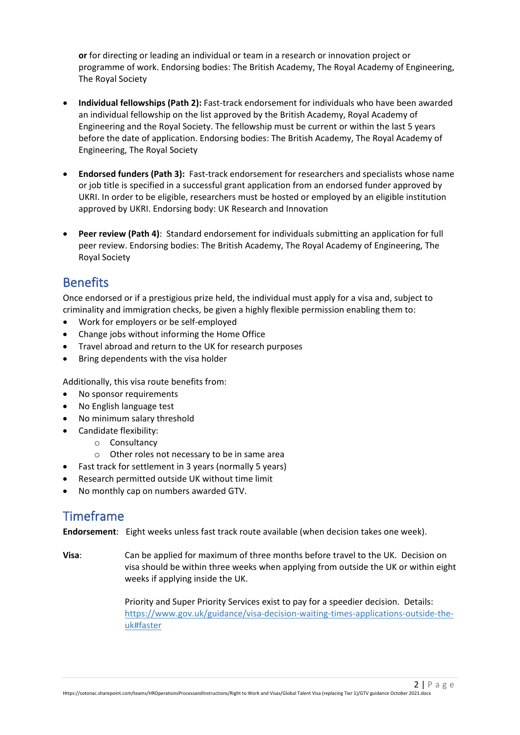**or** for directing or leading an individual or team in a research or innovation project or programme of work. Endorsing bodies: The British Academy, The Royal Academy of Engineering, The Royal Society

- **Individual fellowships (Path 2):** Fast-track endorsement for individuals who have been awarded an individual fellowship on the list approved by the British Academy, Royal Academy of Engineering and the Royal Society. The fellowship must be current or within the last 5 years before the date of application. Endorsing bodies: The British Academy, The Royal Academy of Engineering, The Royal Society
- **Endorsed funders (Path 3):** Fast-track endorsement for researchers and specialists whose name or job title is specified in a successful grant application from an endorsed funder approved by UKRI. In order to be eligible, researchers must be hosted or employed by an eligible institution approved by UKRI. Endorsing body: UK Research and Innovation
- **Peer review (Path 4)**: Standard endorsement for individuals submitting an application for full peer review. Endorsing bodies: The British Academy, The Royal Academy of Engineering, The Royal Society

# <span id="page-1-0"></span>**Benefits**

Once endorsed or if a prestigious prize held, the individual must apply for a visa and, subject to criminality and immigration checks, be given a highly flexible permission enabling them to:

- Work for employers or be self-employed
- Change jobs without informing the Home Office
- Travel abroad and return to the UK for research purposes
- Bring dependents with the visa holder

Additionally, this visa route benefits from:

- No sponsor requirements
- No English language test
- <span id="page-1-3"></span>• No minimum salary threshold
- Candidate flexibility:
	- o Consultancy
	- o Other roles not necessary to be in same area
- Fast track for settlement in 3 years (normally 5 years)
- Research permitted outside UK without time limit
- <span id="page-1-1"></span>• No monthly cap on numbers awarded GTV.

# Timeframe

**Endorsement**: Eight weeks unless fast track route available (when decision takes one week).

**Visa**: Can be applied for maximum of three months before travel to the UK. Decision on visa should be within three weeks when applying from outside the UK or within eight weeks if applying inside the UK.

> <span id="page-1-2"></span>Priority and Super Priority Services exist to pay for a speedier decision. Details: [https://www.gov.uk/guidance/visa-decision-waiting-times-applications-outside-the](https://www.gov.uk/guidance/visa-decision-waiting-times-applications-outside-the-uk#faster)[uk#faster](https://www.gov.uk/guidance/visa-decision-waiting-times-applications-outside-the-uk#faster)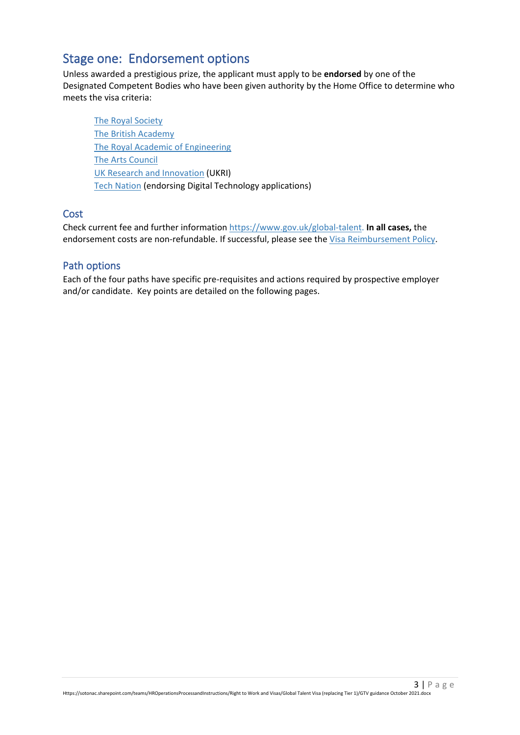# Stage one: Endorsement options

Unless awarded a prestigious prize, the applicant must apply to be **endorsed** by one of the Designated Competent Bodies who have been given authority by the Home Office to determine who meets the visa criteria:

[The Royal Society](https://royalsociety.org/) [The British Academy](https://www.thebritishacademy.ac.uk/) [The Royal Academic of Engineering](https://www.raeng.org.uk/) [The Arts Council](https://www.artscouncil.org.uk/) [UK Research and Innovation](https://www.ukri.org/research/international/global-talent-visa/) (UKRI) [Tech Nation](https://technation.io/visa/) (endorsing Digital Technology applications)

### <span id="page-2-0"></span>**Cost**

Check current fee and further informatio[n https://www.gov.uk/global-talent.](https://www.gov.uk/global-talent) **In all cases,** the endorsement costs are non-refundable. If successful, please see the [Visa Reimbursement Policy.](https://www.southampton.ac.uk/%7Eassets/doc/hr/Visa%20Reimbursement%20Policy.pdf)

### <span id="page-2-1"></span>Path options

Each of the four paths have specific pre-requisites and actions required by prospective employer and/or candidate. Key points are detailed on the following pages.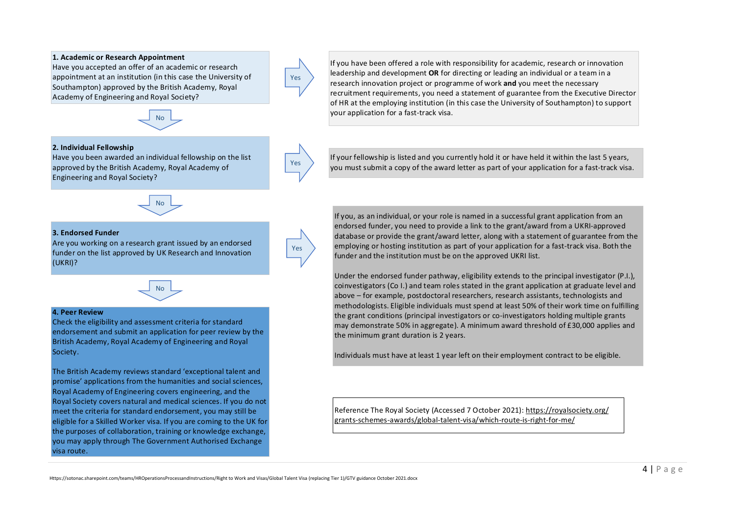#### **1. Academic or Research Appointment**

Have you accepted an offer of an academic or research appointment at an institution (in this case the University of Southampton) approved by the British Academy, Royal Academy of Engineering and Royal Society?



#### **2. Individual Fellowship**

Have you been awarded an individual fellowship on the list approved by the British Academy, Royal Academy of Engineering and Royal Society?



#### **3. Endorsed Funder**

Are you working on a research grant issued by an endorsed funder on the list approved by UK Research and Innovation (UKRI)?



#### **4. Peer Review**

Check the eligibility and assessment criteria for standard endorsement and submit an application for peer review by the British Academy, Royal Academy of Engineering and Royal Society.

The British Academy reviews standard 'exceptional talent and promise' applications from the humanities and social sciences, Royal Academy of Engineering covers engineering, and the Royal Society covers natural and medical sciences. If you do not meet the criteria for standard endorsement, you may still be eligible for a Skilled Worker visa. If you are coming to the UK for the purposes of collaboration, training or knowledge exchange, you may apply through The Government Authorised Exchange visa route.

If you have been offered a role with responsibility for academic, research or innovation leadership and development **OR** for directing or leading an individual or a team in a research innovation project or programme of work **and** you meet the necessary recruitment requirements, you need a statement of guarantee from the Executive Director of HR at the employing institution (in this case the University of Southampton) to support your application for a fast-track visa.

If your fellowship is listed and you currently hold it or have held it within the last 5 years, you must submit a copy of the award letter as part of your application for a fast-track visa.

If you, as an individual, or your role is named in a successful grant application from an endorsed funder, you need to provide a link to the grant/award from a UKRI-approved database or provide the grant/award letter, along with a statement of guarantee from the employing or hosting institution as part of your application for a fast-track visa. Both the funder and the institution must be on the approved UKRI list.

Under the endorsed funder pathway, eligibility extends to the principal investigator (P.I.), coinvestigators (Co I.) and team roles stated in the grant application at graduate level and above – for example, postdoctoral researchers, research assistants, technologists and methodologists. Eligible individuals must spend at least 50% of their work time on fulfilling the grant conditions (principal investigators or co-investigators holding multiple grants may demonstrate 50% in aggregate). A minimum award threshold of £30,000 applies and the minimum grant duration is 2 years.

Individuals must have at least 1 year left on their employment contract to be eligible.

Reference The Royal Society (Accessed 7 October 2021): https://royalsociety.org/ grants-schemes-awards/global-talent-visa/which-route-is-right-for-me/

Yes

Yes

Yes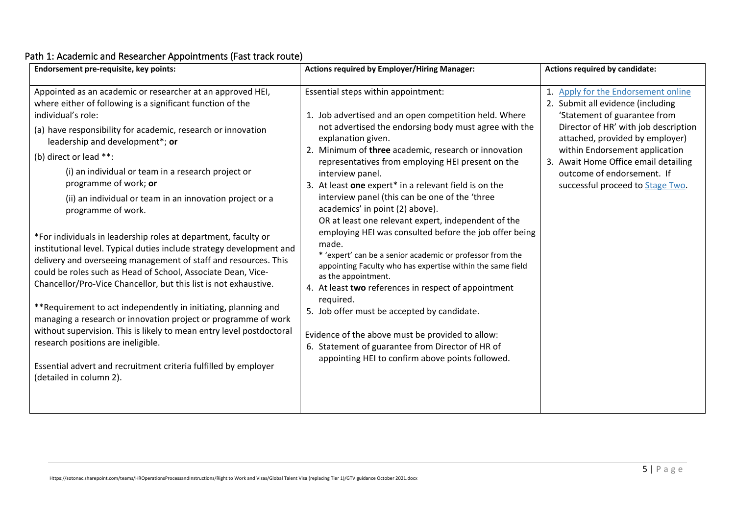<span id="page-4-0"></span>

| Endorsement pre-requisite, key points:                                                                                                                                                                                                                                                                                                                                                                                                                                                                                                                                                                                                                                                                                                                                                                                                                                                                                                                                                                                                                                                                                                        | <b>Actions required by Employer/Hiring Manager:</b>                                                                                                                                                                                                                                                                                                                                                                                                                                                                                                                                                                                                                                                                                                                                                                                                                                                                                                                                                                    | <b>Actions required by candidate:</b>                                                                                                                                                                                                                                                                                        |
|-----------------------------------------------------------------------------------------------------------------------------------------------------------------------------------------------------------------------------------------------------------------------------------------------------------------------------------------------------------------------------------------------------------------------------------------------------------------------------------------------------------------------------------------------------------------------------------------------------------------------------------------------------------------------------------------------------------------------------------------------------------------------------------------------------------------------------------------------------------------------------------------------------------------------------------------------------------------------------------------------------------------------------------------------------------------------------------------------------------------------------------------------|------------------------------------------------------------------------------------------------------------------------------------------------------------------------------------------------------------------------------------------------------------------------------------------------------------------------------------------------------------------------------------------------------------------------------------------------------------------------------------------------------------------------------------------------------------------------------------------------------------------------------------------------------------------------------------------------------------------------------------------------------------------------------------------------------------------------------------------------------------------------------------------------------------------------------------------------------------------------------------------------------------------------|------------------------------------------------------------------------------------------------------------------------------------------------------------------------------------------------------------------------------------------------------------------------------------------------------------------------------|
| Appointed as an academic or researcher at an approved HEI,<br>where either of following is a significant function of the<br>individual's role:<br>(a) have responsibility for academic, research or innovation<br>leadership and development*; or<br>(b) direct or lead **:<br>(i) an individual or team in a research project or<br>programme of work; or<br>(ii) an individual or team in an innovation project or a<br>programme of work.<br>*For individuals in leadership roles at department, faculty or<br>institutional level. Typical duties include strategy development and<br>delivery and overseeing management of staff and resources. This<br>could be roles such as Head of School, Associate Dean, Vice-<br>Chancellor/Pro-Vice Chancellor, but this list is not exhaustive.<br>**Requirement to act independently in initiating, planning and<br>managing a research or innovation project or programme of work<br>without supervision. This is likely to mean entry level postdoctoral<br>research positions are ineligible.<br>Essential advert and recruitment criteria fulfilled by employer<br>(detailed in column 2). | Essential steps within appointment:<br>1. Job advertised and an open competition held. Where<br>not advertised the endorsing body must agree with the<br>explanation given.<br>2. Minimum of three academic, research or innovation<br>representatives from employing HEI present on the<br>interview panel.<br>3. At least one expert* in a relevant field is on the<br>interview panel (this can be one of the 'three<br>academics' in point (2) above).<br>OR at least one relevant expert, independent of the<br>employing HEI was consulted before the job offer being<br>made.<br>* 'expert' can be a senior academic or professor from the<br>appointing Faculty who has expertise within the same field<br>as the appointment.<br>4. At least two references in respect of appointment<br>required.<br>5. Job offer must be accepted by candidate.<br>Evidence of the above must be provided to allow:<br>6. Statement of guarantee from Director of HR of<br>appointing HEI to confirm above points followed. | Apply for the Endorsement online<br>2. Submit all evidence (including<br>'Statement of guarantee from<br>Director of HR' with job description<br>attached, provided by employer)<br>within Endorsement application<br>3. Await Home Office email detailing<br>outcome of endorsement. If<br>successful proceed to Stage Two. |

## Path 1: Academic and Researcher Appointments (Fast track route)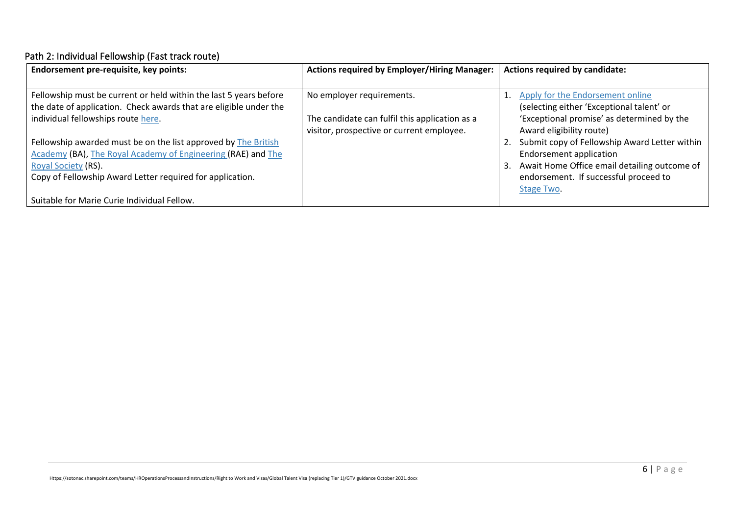# Path 2: Individual Fellowship (Fast track route)

<span id="page-5-0"></span>

| <b>Endorsement pre-requisite, key points:</b>                     | <b>Actions required by Employer/Hiring Manager:</b> | Actions required by candidate:                      |
|-------------------------------------------------------------------|-----------------------------------------------------|-----------------------------------------------------|
|                                                                   |                                                     |                                                     |
| Fellowship must be current or held within the last 5 years before | No employer requirements.                           | Apply for the Endorsement online                    |
| the date of application. Check awards that are eligible under the |                                                     | (selecting either 'Exceptional talent' or           |
| individual fellowships route here.                                | The candidate can fulfil this application as a      | 'Exceptional promise' as determined by the          |
|                                                                   | visitor, prospective or current employee.           | Award eligibility route)                            |
| Fellowship awarded must be on the list approved by The British    |                                                     | Submit copy of Fellowship Award Letter within<br>2. |
| Academy (BA), The Royal Academy of Engineering (RAE) and The      |                                                     | <b>Endorsement application</b>                      |
| Royal Society (RS).                                               |                                                     | Await Home Office email detailing outcome of<br>3.  |
| Copy of Fellowship Award Letter required for application.         |                                                     | endorsement. If successful proceed to               |
|                                                                   |                                                     | Stage Two.                                          |
| Suitable for Marie Curie Individual Fellow.                       |                                                     |                                                     |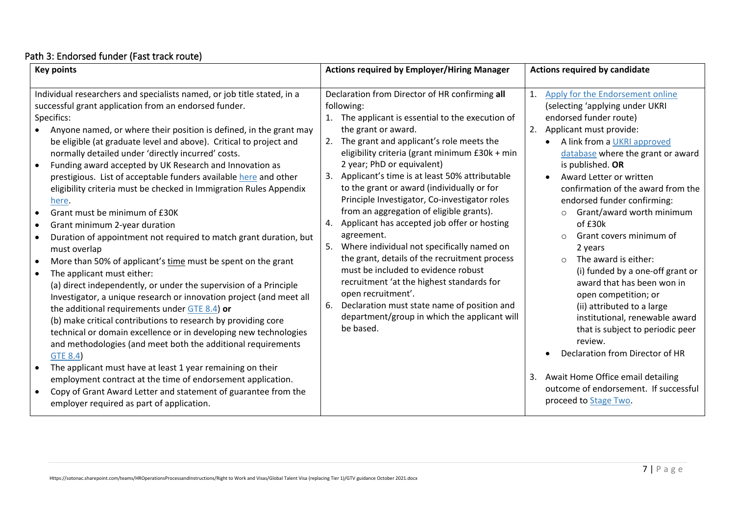## Path 3: Endorsed funder (Fast track route)

<span id="page-6-0"></span>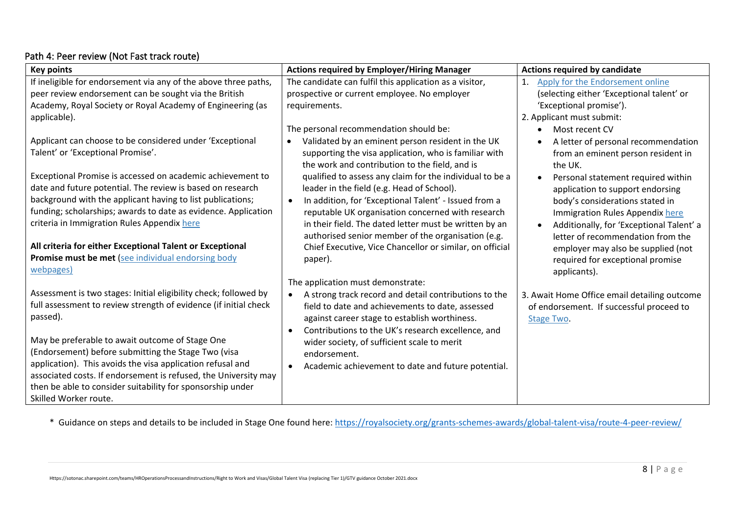### Path 4: Peer review (Not Fast track route)

| <b>Key points</b>                                                                                                                                                                                                                                                                                       | <b>Actions required by Employer/Hiring Manager</b>                                                                                                                                                                                                                                          | <b>Actions required by candidate</b>                                                                                                                                                                               |
|---------------------------------------------------------------------------------------------------------------------------------------------------------------------------------------------------------------------------------------------------------------------------------------------------------|---------------------------------------------------------------------------------------------------------------------------------------------------------------------------------------------------------------------------------------------------------------------------------------------|--------------------------------------------------------------------------------------------------------------------------------------------------------------------------------------------------------------------|
| If ineligible for endorsement via any of the above three paths,                                                                                                                                                                                                                                         | The candidate can fulfil this application as a visitor,                                                                                                                                                                                                                                     | Apply for the Endorsement online<br>1.                                                                                                                                                                             |
| peer review endorsement can be sought via the British                                                                                                                                                                                                                                                   | prospective or current employee. No employer                                                                                                                                                                                                                                                | (selecting either 'Exceptional talent' or                                                                                                                                                                          |
| Academy, Royal Society or Royal Academy of Engineering (as                                                                                                                                                                                                                                              | requirements.                                                                                                                                                                                                                                                                               | 'Exceptional promise').                                                                                                                                                                                            |
| applicable).                                                                                                                                                                                                                                                                                            |                                                                                                                                                                                                                                                                                             | 2. Applicant must submit:                                                                                                                                                                                          |
|                                                                                                                                                                                                                                                                                                         | The personal recommendation should be:                                                                                                                                                                                                                                                      | Most recent CV<br>$\bullet$                                                                                                                                                                                        |
| Applicant can choose to be considered under 'Exceptional                                                                                                                                                                                                                                                | Validated by an eminent person resident in the UK                                                                                                                                                                                                                                           | A letter of personal recommendation                                                                                                                                                                                |
| Talent' or 'Exceptional Promise'.                                                                                                                                                                                                                                                                       | supporting the visa application, who is familiar with<br>the work and contribution to the field, and is                                                                                                                                                                                     | from an eminent person resident in<br>the UK.                                                                                                                                                                      |
| Exceptional Promise is accessed on academic achievement to<br>date and future potential. The review is based on research<br>background with the applicant having to list publications;<br>funding; scholarships; awards to date as evidence. Application<br>criteria in Immigration Rules Appendix here | qualified to assess any claim for the individual to be a<br>leader in the field (e.g. Head of School).<br>In addition, for 'Exceptional Talent' - Issued from a<br>$\bullet$<br>reputable UK organisation concerned with research<br>in their field. The dated letter must be written by an | Personal statement required within<br>$\bullet$<br>application to support endorsing<br>body's considerations stated in<br>Immigration Rules Appendix here<br>Additionally, for 'Exceptional Talent' a<br>$\bullet$ |
| All criteria for either Exceptional Talent or Exceptional<br>Promise must be met (see individual endorsing body<br>webpages)                                                                                                                                                                            | authorised senior member of the organisation (e.g.<br>Chief Executive, Vice Chancellor or similar, on official<br>paper).                                                                                                                                                                   | letter of recommendation from the<br>employer may also be supplied (not<br>required for exceptional promise<br>applicants).                                                                                        |
|                                                                                                                                                                                                                                                                                                         | The application must demonstrate:                                                                                                                                                                                                                                                           |                                                                                                                                                                                                                    |
| Assessment is two stages: Initial eligibility check; followed by<br>full assessment to review strength of evidence (if initial check<br>passed).                                                                                                                                                        | A strong track record and detail contributions to the<br>$\bullet$<br>field to date and achievements to date, assessed<br>against career stage to establish worthiness.<br>Contributions to the UK's research excellence, and<br>$\bullet$                                                  | 3. Await Home Office email detailing outcome<br>of endorsement. If successful proceed to<br>Stage Two.                                                                                                             |
| May be preferable to await outcome of Stage One<br>(Endorsement) before submitting the Stage Two (visa<br>application). This avoids the visa application refusal and<br>associated costs. If endorsement is refused, the University may<br>then be able to consider suitability for sponsorship under   | wider society, of sufficient scale to merit<br>endorsement.<br>Academic achievement to date and future potential.<br>$\bullet$                                                                                                                                                              |                                                                                                                                                                                                                    |
| Skilled Worker route.                                                                                                                                                                                                                                                                                   |                                                                                                                                                                                                                                                                                             |                                                                                                                                                                                                                    |

<span id="page-7-0"></span>\* Guidance on steps and details to be included in Stage One found here[: https://royalsociety.org/grants-schemes-awards/global-talent-visa/route-4-peer-review/](https://royalsociety.org/grants-schemes-awards/global-talent-visa/route-4-peer-review/)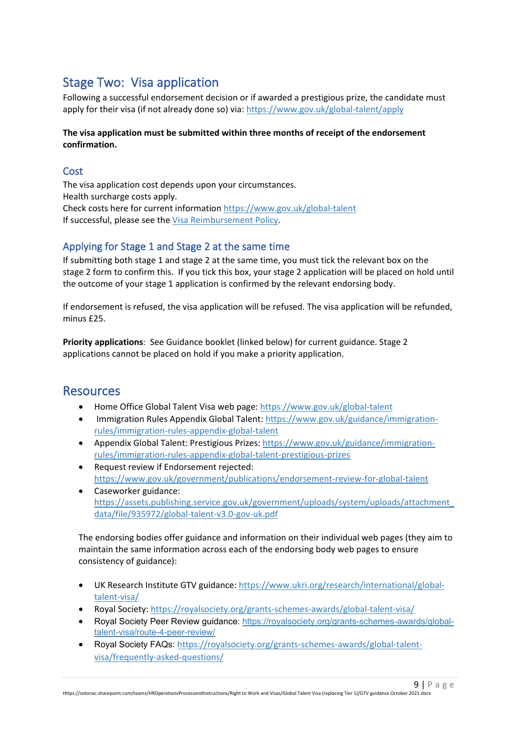# <span id="page-8-4"></span><span id="page-8-0"></span>Stage Two: Visa application

Following a successful endorsement decision or if awarded a prestigious prize, the candidate must apply for their visa (if not already done so) via: <https://www.gov.uk/global-talent/apply>

#### **The visa application must be submitted within three months of receipt of the endorsement confirmation.**

## <span id="page-8-1"></span>**Cost**

The visa application cost depends upon your circumstances. Health surcharge costs apply. Check costs here for current information<https://www.gov.uk/global-talent> If successful, please see the [Visa Reimbursement Policy.](https://www.southampton.ac.uk/%7Eassets/doc/hr/Visa%20Reimbursement%20Policy.pdf)

## <span id="page-8-2"></span>Applying for Stage 1 and Stage 2 at the same time

If submitting both stage 1 and stage 2 at the same time, you must tick the relevant box on the stage 2 form to confirm this. If you tick this box, your stage 2 application will be placed on hold until the outcome of your stage 1 application is confirmed by the relevant endorsing body.

If endorsement is refused, the visa application will be refused. The visa application will be refunded, minus £25.

**Priority applications**: See Guidance booklet (linked below) for current guidance. Stage 2 applications cannot be placed on hold if you make a priority application.

# <span id="page-8-3"></span>**Resources**

- Home Office Global Talent Visa web page:<https://www.gov.uk/global-talent>
- Immigration Rules Appendix Global Talent: [https://www.gov.uk/guidance/immigration](https://www.gov.uk/guidance/immigration-rules/immigration-rules-appendix-global-talent)[rules/immigration-rules-appendix-global-talent](https://www.gov.uk/guidance/immigration-rules/immigration-rules-appendix-global-talent)
- Appendix Global Talent: Prestigious Prizes[: https://www.gov.uk/guidance/immigration](https://www.gov.uk/guidance/immigration-rules/immigration-rules-appendix-global-talent-prestigious-prizes)[rules/immigration-rules-appendix-global-talent-prestigious-prizes](https://www.gov.uk/guidance/immigration-rules/immigration-rules-appendix-global-talent-prestigious-prizes)
- Request review if Endorsement rejected: <https://www.gov.uk/government/publications/endorsement-review-for-global-talent>
- Caseworker guidance: [https://assets.publishing.service.gov.uk/government/uploads/system/uploads/attachment\\_](https://assets.publishing.service.gov.uk/government/uploads/system/uploads/attachment_data/file/935972/global-talent-v3.0-gov-uk.pdf) [data/file/935972/global-talent-v3.0-gov-uk.pdf](https://assets.publishing.service.gov.uk/government/uploads/system/uploads/attachment_data/file/935972/global-talent-v3.0-gov-uk.pdf)

The endorsing bodies offer guidance and information on their individual web pages (they aim to maintain the same information across each of the endorsing body web pages to ensure consistency of guidance):

- UK Research Institute GTV guidance[: https://www.ukri.org/research/international/global](https://www.ukri.org/research/international/global-talent-visa/)[talent-visa/](https://www.ukri.org/research/international/global-talent-visa/)
- Royal Society[: https://royalsociety.org/grants-schemes-awards/global-talent-visa/](https://royalsociety.org/grants-schemes-awards/global-talent-visa/)
- Royal Society Peer Review guidance: [https://royalsociety.org/grants-schemes-awards/global](https://royalsociety.org/grants-schemes-awards/global-talent-visa/route-4-peer-review/)[talent-visa/route-4-peer-review/](https://royalsociety.org/grants-schemes-awards/global-talent-visa/route-4-peer-review/)

 $9$  | Page

• Royal Society FAQs: [https://royalsociety.org/grants-schemes-awards/global-talent](https://eur03.safelinks.protection.outlook.com/?url=https%3A%2F%2Froyalsociety.org%2Fgrants-schemes-awards%2Fglobal-talent-visa%2Ffrequently-asked-questions%2F&data=04%7C01%7CD.L.Collins%40soton.ac.uk%7Ce19334005edb458e618908d88d766736%7C4a5378f929f44d3ebe89669d03ada9d8%7C0%7C0%7C637414886967125456%7CUnknown%7CTWFpbGZsb3d8eyJWIjoiMC4wLjAwMDAiLCJQIjoiV2luMzIiLCJBTiI6Ik1haWwiLCJXVCI6Mn0%3D%7C1000&sdata=eYKDYDRVdZ2%2BA7al41nW2xpMOfC6TcOg0Eu4Mg94LU0%3D&reserved=0)[visa/frequently-asked-questions/](https://eur03.safelinks.protection.outlook.com/?url=https%3A%2F%2Froyalsociety.org%2Fgrants-schemes-awards%2Fglobal-talent-visa%2Ffrequently-asked-questions%2F&data=04%7C01%7CD.L.Collins%40soton.ac.uk%7Ce19334005edb458e618908d88d766736%7C4a5378f929f44d3ebe89669d03ada9d8%7C0%7C0%7C637414886967125456%7CUnknown%7CTWFpbGZsb3d8eyJWIjoiMC4wLjAwMDAiLCJQIjoiV2luMzIiLCJBTiI6Ik1haWwiLCJXVCI6Mn0%3D%7C1000&sdata=eYKDYDRVdZ2%2BA7al41nW2xpMOfC6TcOg0Eu4Mg94LU0%3D&reserved=0)

Https://sotonac.sharepoint.com/teams/HROperationsProcessandInstructions/Right to Work and Visas/Global Talent Visa (replacing Tier 1)/GTV guidance October 2021.docx